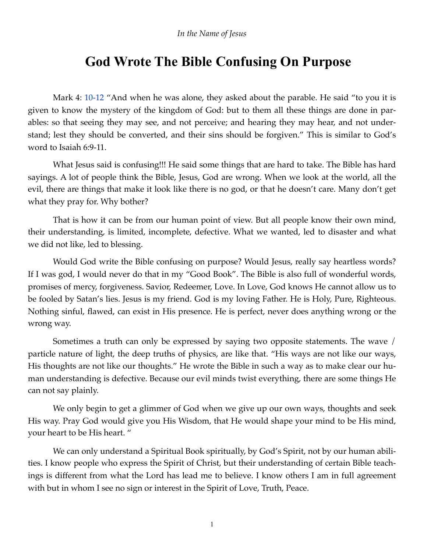## *In the Name of Jesus*

## **God Wrote The Bible Confusing On Purpose**

Mark 4: 10-12 "And when he was alone, they asked about the parable. He said "to you it is given to know the mystery of the kingdom of God: but to them all these things are done in parables: so that seeing they may see, and not perceive; and hearing they may hear, and not understand; lest they should be converted, and their sins should be forgiven." This is similar to God's word to Isaiah 6:9-11.

What Jesus said is confusing!!! He said some things that are hard to take. The Bible has hard sayings. A lot of people think the Bible, Jesus, God are wrong. When we look at the world, all the evil, there are things that make it look like there is no god, or that he doesn't care. Many don't get what they pray for. Why bother?

That is how it can be from our human point of view. But all people know their own mind, their understanding, is limited, incomplete, defective. What we wanted, led to disaster and what we did not like, led to blessing.

Would God write the Bible confusing on purpose? Would Jesus, really say heartless words? If I was god, I would never do that in my "Good Book". The Bible is also full of wonderful words, promises of mercy, forgiveness. Savior, Redeemer, Love. In Love, God knows He cannot allow us to be fooled by Satan's lies. Jesus is my friend. God is my loving Father. He is Holy, Pure, Righteous. Nothing sinful, flawed, can exist in His presence. He is perfect, never does anything wrong or the wrong way.

Sometimes a truth can only be expressed by saying two opposite statements. The wave / particle nature of light, the deep truths of physics, are like that. "His ways are not like our ways, His thoughts are not like our thoughts." He wrote the Bible in such a way as to make clear our human understanding is defective. Because our evil minds twist everything, there are some things He can not say plainly.

We only begin to get a glimmer of God when we give up our own ways, thoughts and seek His way. Pray God would give you His Wisdom, that He would shape your mind to be His mind, your heart to be His heart. "

We can only understand a Spiritual Book spiritually, by God's Spirit, not by our human abilities. I know people who express the Spirit of Christ, but their understanding of certain Bible teachings is different from what the Lord has lead me to believe. I know others I am in full agreement with but in whom I see no sign or interest in the Spirit of Love, Truth, Peace.